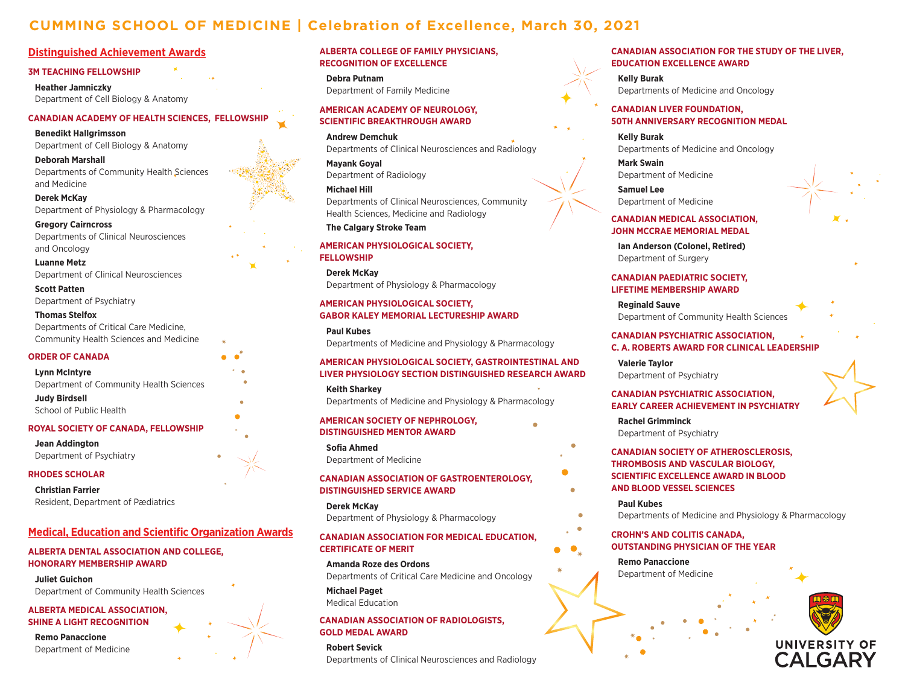# **CUMMING SCHOOL OF MEDICINE | Celebration of Excellence, March 30, 2021**

# **Distinguished Achievement Awards**

#### **3M TEACHING FELLOWSHIP**

**Heather Jamniczky** Department of Cell Biology & Anatomy

# **CANADIAN ACADEMY OF HEALTH SCIENCES, FELLOWSHIP**

**Benedikt Hallgrimsson**  Department of Cell Biology & Anatomy

**Deborah Marshall** Departments of Community Health Sciences and Medicine

**Derek McKay** Department of Physiology & Pharmacology

**Gregory Cairncross** Departments of Clinical Neurosciences and Oncology

**Luanne Metz** Department of Clinical Neurosciences

**Scott Patten** Department of Psychiatry

#### **Thomas Stelfox**

Departments of Critical Care Medicine, Community Health Sciences and Medicine

#### **ORDER OF CANADA**

#### **Lynn McIntyre**

Department of Community Health Sciences

**Judy Birdsell** School of Public Health

#### **ROYAL SOCIETY OF CANADA, FELLOWSHIP**

**Jean Addington** Department of Psychiatry

#### **RHODES SCHOLAR**

**Christian Farrier** Resident, Department of Pædiatrics

## **Medical, Education and Scientific Organization Awards**

**ALBERTA DENTAL ASSOCIATION AND COLLEGE, HONORARY MEMBERSHIP AWARD**

**Juliet Guichon**

Department of Community Health Sciences

**ALBERTA MEDICAL ASSOCIATION, SHINE A LIGHT RECOGNITION**

**Remo Panaccione** Department of Medicine

## **ALBERTA COLLEGE OF FAMILY PHYSICIANS, RECOGNITION OF EXCELLENCE**

**Debra Putnam** Department of Family Medicine

## **AMERICAN ACADEMY OF NEUROLOGY, SCIENTIFIC BREAKTHROUGH AWARD**

**Andrew Demchuk**  Departments of Clinical Neurosciences and Radiology

**Mayank Goyal** Department of Radiology

**Michael Hill** Departments of Clinical Neurosciences, Community Health Sciences, Medicine and Radiology

#### **The Calgary Stroke Team**

#### **AMERICAN PHYSIOLOGICAL SOCIETY, FELLOWSHIP**

**Derek McKay**  Department of Physiology & Pharmacology

#### **AMERICAN PHYSIOLOGICAL SOCIETY, GABOR KALEY MEMORIAL LECTURESHIP AWARD**

**Paul Kubes** Departments of Medicine and Physiology & Pharmacology

#### **AMERICAN PHYSIOLOGICAL SOCIETY, GASTROINTESTINAL AND LIVER PHYSIOLOGY SECTION DISTINGUISHED RESEARCH AWARD**

**Keith Sharkey** Departments of Medicine and Physiology & Pharmacology

**AMERICAN SOCIETY OF NEPHROLOGY, DISTINGUISHED MENTOR AWARD**

**Sofia Ahmed**  Department of Medicine

#### **CANADIAN ASSOCIATION OF GASTROENTEROLOGY, DISTINGUISHED SERVICE AWARD**

**Derek McKay** Department of Physiology & Pharmacology

# **CANADIAN ASSOCIATION FOR MEDICAL EDUCATION, CERTIFICATE OF MERIT**

**Amanda Roze des Ordons**  Departments of Critical Care Medicine and Oncology

**Michael Paget**  Medical Education

#### **CANADIAN ASSOCIATION OF RADIOLOGISTS, GOLD MEDAL AWARD**

**Robert Sevick**  Departments of Clinical Neurosciences and Radiology

#### **CANADIAN ASSOCIATION FOR THE STUDY OF THE LIVER, EDUCATION EXCELLENCE AWARD**

**Kelly Burak** Departments of Medicine and Oncology

#### **CANADIAN LIVER FOUNDATION, 50TH ANNIVERSARY RECOGNITION MEDAL**

**Kelly Burak** Departments of Medicine and Oncology

**Mark Swain** Department of Medicine

**Samuel Lee** Department of Medicine

#### **CANADIAN MEDICAL ASSOCIATION, JOHN MCCRAE MEMORIAL MEDAL**

**Ian Anderson (Colonel, Retired)**  Department of Surgery

## **CANADIAN PAEDIATRIC SOCIETY, LIFETIME MEMBERSHIP AWARD**

**Reginald Sauve** Department of Community Health Sciences

### **CANADIAN PSYCHIATRIC ASSOCIATION, C. A. ROBERTS AWARD FOR CLINICAL LEADERSHIP**

**Valerie Taylor**  Department of Psychiatry

#### **CANADIAN PSYCHIATRIC ASSOCIATION, EARLY CAREER ACHIEVEMENT IN PSYCHIATRY**

**Rachel Grimminck**  Department of Psychiatry

#### **CANADIAN SOCIETY OF ATHEROSCLEROSIS, THROMBOSIS AND VASCULAR BIOLOGY, SCIENTIFIC EXCELLENCE AWARD IN BLOOD AND BLOOD VESSEL SCIENCES**

**Paul Kubes** Departments of Medicine and Physiology & Pharmacology

# **CROHN'S AND COLITIS CANADA, OUTSTANDING PHYSICIAN OF THE YEAR**

**Remo Panaccione**  Department of Medicine

 $\bullet$